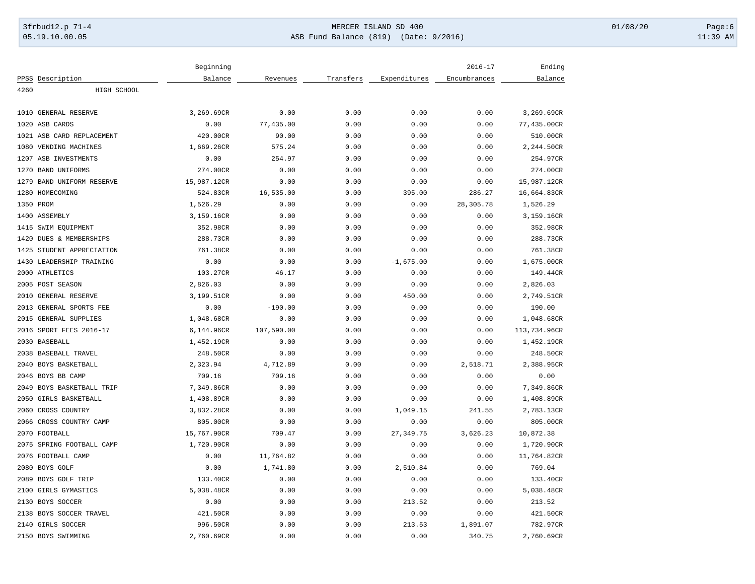## 3frbud12.p 71-4 **Details and the CER ISLAND SD 400** MERCER ISLAND SD 400 01/08/20 Page:6 05.19.10.00.05 ASB Fund Balance (819) (Date: 9/2016) 11:39 AM

|           |                           | Beginning   |            |           |              | $2016 - 17$  | Ending       |
|-----------|---------------------------|-------------|------------|-----------|--------------|--------------|--------------|
|           | PPSS Description          | Balance     | Revenues   | Transfers | Expenditures | Encumbrances | Balance      |
| 4260      | HIGH SCHOOL               |             |            |           |              |              |              |
|           |                           |             |            |           |              |              |              |
|           | 1010 GENERAL RESERVE      | 3,269.69CR  | 0.00       | 0.00      | 0.00         | 0.00         | 3,269.69CR   |
|           | 1020 ASB CARDS            | 0.00        | 77,435.00  | 0.00      | 0.00         | 0.00         | 77,435.00CR  |
|           | 1021 ASB CARD REPLACEMENT | 420.00CR    | 90.00      | 0.00      | 0.00         | 0.00         | 510.00CR     |
|           | 1080 VENDING MACHINES     | 1,669.26CR  | 575.24     | 0.00      | 0.00         | 0.00         | 2,244.50CR   |
|           | 1207 ASB INVESTMENTS      | 0.00        | 254.97     | 0.00      | 0.00         | 0.00         | 254.97CR     |
|           | 1270 BAND UNIFORMS        | 274.00CR    | 0.00       | 0.00      | 0.00         | 0.00         | 274.00CR     |
| 1279      | BAND UNIFORM RESERVE      | 15,987.12CR | 0.00       | 0.00      | 0.00         | 0.00         | 15,987.12CR  |
|           | 1280 HOMECOMING           | 524.83CR    | 16,535.00  | 0.00      | 395.00       | 286.27       | 16,664.83CR  |
| 1350 PROM |                           | 1,526.29    | 0.00       | 0.00      | 0.00         | 28,305.78    | 1,526.29     |
|           | 1400 ASSEMBLY             | 3,159.16CR  | 0.00       | 0.00      | 0.00         | 0.00         | 3,159.16CR   |
|           | 1415 SWIM EQUIPMENT       | 352.98CR    | 0.00       | 0.00      | 0.00         | 0.00         | 352.98CR     |
| 1420      | DUES & MEMBERSHIPS        | 288.73CR    | 0.00       | 0.00      | 0.00         | 0.00         | 288.73CR     |
| 1425      | STUDENT APPRECIATION      | 761.38CR    | 0.00       | 0.00      | 0.00         | 0.00         | 761.38CR     |
|           | 1430 LEADERSHIP TRAINING  | 0.00        | 0.00       | 0.00      | $-1,675.00$  | 0.00         | 1,675.00CR   |
|           | 2000 ATHLETICS            | 103.27CR    | 46.17      | 0.00      | 0.00         | 0.00         | 149.44CR     |
|           | 2005 POST SEASON          | 2,826.03    | 0.00       | 0.00      | 0.00         | 0.00         | 2,826.03     |
|           | 2010 GENERAL RESERVE      | 3,199.51CR  | 0.00       | 0.00      | 450.00       | 0.00         | 2,749.51CR   |
|           | 2013 GENERAL SPORTS FEE   | 0.00        | $-190.00$  | 0.00      | 0.00         | 0.00         | 190.00       |
| 2015      | GENERAL SUPPLIES          | 1,048.68CR  | 0.00       | 0.00      | 0.00         | 0.00         | 1,048.68CR   |
|           | 2016 SPORT FEES 2016-17   | 6,144.96CR  | 107,590.00 | 0.00      | 0.00         | 0.00         | 113,734.96CR |
|           | 2030 BASEBALL             | 1,452.19CR  | 0.00       | 0.00      | 0.00         | 0.00         | 1,452.19CR   |
|           | 2038 BASEBALL TRAVEL      | 248.50CR    | 0.00       | 0.00      | 0.00         | 0.00         | 248.50CR     |
|           | 2040 BOYS BASKETBALL      | 2,323.94    | 4,712.89   | 0.00      | 0.00         | 2,518.71     | 2,388.95CR   |
|           | 2046 BOYS BB CAMP         | 709.16      | 709.16     | 0.00      | 0.00         | 0.00         | 0.00         |
|           | 2049 BOYS BASKETBALL TRIP | 7,349.86CR  | 0.00       | 0.00      | 0.00         | 0.00         | 7,349.86CR   |
|           | 2050 GIRLS BASKETBALL     | 1,408.89CR  | 0.00       | 0.00      | 0.00         | 0.00         | 1,408.89CR   |
| 2060      | CROSS COUNTRY             | 3,832.28CR  | 0.00       | 0.00      | 1,049.15     | 241.55       | 2,783.13CR   |
|           | 2066 CROSS COUNTRY CAMP   | 805.00CR    | 0.00       | 0.00      | 0.00         | 0.00         | 805.00CR     |
|           | 2070 FOOTBALL             | 15,767.90CR | 709.47     | 0.00      | 27, 349.75   | 3,626.23     | 10,872.38    |
|           | 2075 SPRING FOOTBALL CAMP | 1,720.90CR  | 0.00       | 0.00      | 0.00         | 0.00         | 1,720.90CR   |
|           | 2076 FOOTBALL CAMP        | 0.00        | 11,764.82  | 0.00      | 0.00         | 0.00         | 11,764.82CR  |
|           | 2080 BOYS GOLF            | 0.00        | 1,741.80   | 0.00      | 2,510.84     | 0.00         | 769.04       |
|           | 2089 BOYS GOLF TRIP       | 133.40CR    | 0.00       | 0.00      | 0.00         | 0.00         | 133.40CR     |
|           | 2100 GIRLS GYMASTICS      | 5,038.48CR  | 0.00       | 0.00      | 0.00         | 0.00         | 5,038.48CR   |
|           | 2130 BOYS SOCCER          | 0.00        | 0.00       | 0.00      | 213.52       | 0.00         | 213.52       |
|           | 2138 BOYS SOCCER TRAVEL   | 421.50CR    | 0.00       | 0.00      | 0.00         | 0.00         | 421.50CR     |
|           | 2140 GIRLS SOCCER         | 996.50CR    | 0.00       | 0.00      | 213.53       | 1,891.07     | 782.97CR     |
|           | 2150 BOYS SWIMMING        | 2,760.69CR  | 0.00       | 0.00      | 0.00         | 340.75       | 2,760.69CR   |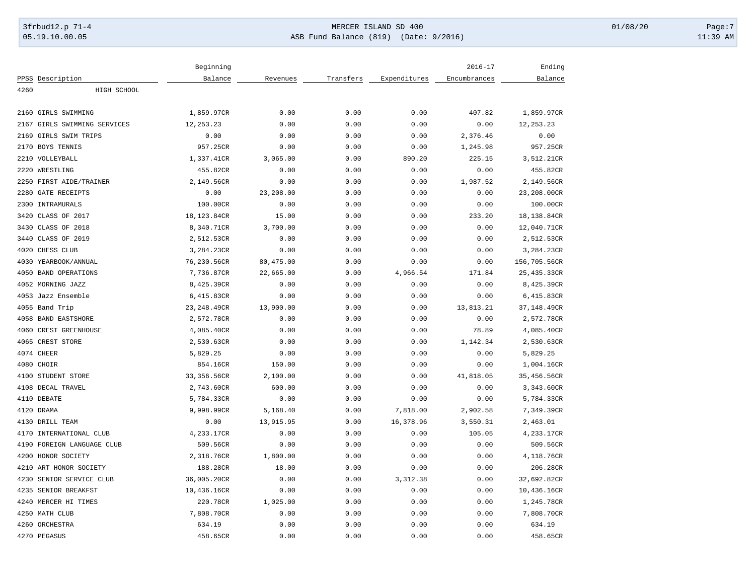## 3frbud12.p 71-4 **Details and the CER ISLAND SD 400** MERCER ISLAND SD 400 01/08/20 Page:7 05.19.10.00.05 ASB Fund Balance (819) (Date: 9/2016) 11:39 AM

|      |                         | Beginning    |           |           |              | $2016 - 17$  | Ending       |
|------|-------------------------|--------------|-----------|-----------|--------------|--------------|--------------|
|      | PPSS Description        | Balance      | Revenues  | Transfers | Expenditures | Encumbrances | Balance      |
| 4260 | HIGH SCHOOL             |              |           |           |              |              |              |
|      |                         |              |           |           |              |              |              |
| 2160 | GIRLS SWIMMING          | 1,859.97CR   | 0.00      | 0.00      | 0.00         | 407.82       | 1,859.97CR   |
| 2167 | GIRLS SWIMMING SERVICES | 12, 253.23   | 0.00      | 0.00      | 0.00         | 0.00         | 12, 253.23   |
| 2169 | GIRLS SWIM TRIPS        | 0.00         | 0.00      | 0.00      | 0.00         | 2,376.46     | 0.00         |
| 2170 | BOYS TENNIS             | 957.25CR     | 0.00      | 0.00      | 0.00         | 1,245.98     | 957.25CR     |
| 2210 | VOLLEYBALL              | 1,337.41CR   | 3,065.00  | 0.00      | 890.20       | 225.15       | 3,512.21CR   |
| 2220 | WRESTLING               | 455.82CR     | 0.00      | 0.00      | 0.00         | 0.00         | 455.82CR     |
| 2250 | FIRST AIDE/TRAINER      | 2,149.56CR   | 0.00      | 0.00      | 0.00         | 1,987.52     | 2,149.56CR   |
| 2280 | <b>GATE RECEIPTS</b>    | 0.00         | 23,208.00 | 0.00      | 0.00         | 0.00         | 23,208.00CR  |
| 2300 | INTRAMURALS             | 100.00CR     | 0.00      | 0.00      | 0.00         | 0.00         | 100.00CR     |
| 3420 | CLASS OF 2017           | 18,123.84CR  | 15.00     | 0.00      | 0.00         | 233.20       | 18,138.84CR  |
| 3430 | CLASS OF 2018           | 8,340.71CR   | 3,700.00  | 0.00      | 0.00         | 0.00         | 12,040.71CR  |
| 3440 | CLASS OF 2019           | 2,512.53CR   | 0.00      | 0.00      | 0.00         | 0.00         | 2,512.53CR   |
| 4020 | CHESS CLUB              | 3,284.23CR   | 0.00      | 0.00      | 0.00         | 0.00         | 3,284.23CR   |
| 4030 | YEARBOOK/ANNUAL         | 76,230.56CR  | 80,475.00 | 0.00      | 0.00         | 0.00         | 156,705.56CR |
| 4050 | <b>BAND OPERATIONS</b>  | 7,736.87CR   | 22,665.00 | 0.00      | 4,966.54     | 171.84       | 25,435.33CR  |
| 4052 | MORNING JAZZ            | 8,425.39CR   | 0.00      | 0.00      | 0.00         | 0.00         | 8,425.39CR   |
| 4053 | Jazz Ensemble           | 6,415.83CR   | 0.00      | 0.00      | 0.00         | 0.00         | 6,415.83CR   |
| 4055 | Band Trip               | 23, 248.49CR | 13,900.00 | 0.00      | 0.00         | 13,813.21    | 37,148.49CR  |
| 4058 | <b>BAND EASTSHORE</b>   | 2,572.78CR   | 0.00      | 0.00      | 0.00         | 0.00         | 2,572.78CR   |
| 4060 | CREST GREENHOUSE        | 4,085.40CR   | 0.00      | 0.00      | 0.00         | 78.89        | 4,085.40CR   |
| 4065 | CREST STORE             | 2,530.63CR   | 0.00      | 0.00      | 0.00         | 1,142.34     | 2,530.63CR   |
|      | 4074 CHEER              | 5,829.25     | 0.00      | 0.00      | 0.00         | 0.00         | 5,829.25     |
|      | 4080 CHOIR              | 854.16CR     | 150.00    | 0.00      | 0.00         | 0.00         | 1,004.16CR   |
|      | 4100 STUDENT STORE      | 33,356.56CR  | 2,100.00  | 0.00      | 0.00         | 41,818.05    | 35,456.56CR  |
| 4108 | DECAL TRAVEL            | 2,743.60CR   | 600.00    | 0.00      | 0.00         | 0.00         | 3,343.60CR   |
|      | 4110 DEBATE             | 5,784.33CR   | 0.00      | 0.00      | 0.00         | 0.00         | 5,784.33CR   |
|      | 4120 DRAMA              | 9,998.99CR   | 5,168.40  | 0.00      | 7,818.00     | 2,902.58     | 7,349.39CR   |
| 4130 | DRILL TEAM              | 0.00         | 13,915.95 | 0.00      | 16,378.96    | 3,550.31     | 2,463.01     |
| 4170 | INTERNATIONAL CLUB      | 4,233.17CR   | 0.00      | 0.00      | 0.00         | 105.05       | 4,233.17CR   |
| 4190 | FOREIGN LANGUAGE CLUB   | 509.56CR     | 0.00      | 0.00      | 0.00         | 0.00         | 509.56CR     |
| 4200 | HONOR SOCIETY           | 2,318.76CR   | 1,800.00  | 0.00      | 0.00         | 0.00         | 4,118.76CR   |
| 4210 | ART HONOR SOCIETY       | 188.28CR     | 18.00     | 0.00      | 0.00         | 0.00         | 206.28CR     |
| 4230 | SENIOR SERVICE CLUB     | 36,005.20CR  | 0.00      | 0.00      | 3,312.38     | 0.00         | 32,692.82CR  |
| 4235 | SENIOR BREAKFST         | 10,436.16CR  | 0.00      | 0.00      | 0.00         | 0.00         | 10,436.16CR  |
| 4240 | MERCER HI TIMES         | 220.78CR     | 1,025.00  | 0.00      | 0.00         | 0.00         | 1,245.78CR   |
|      | 4250 MATH CLUB          | 7,808.70CR   | 0.00      | 0.00      | 0.00         | 0.00         | 7,808.70CR   |
|      | 4260 ORCHESTRA          | 634.19       | 0.00      | 0.00      | 0.00         | 0.00         | 634.19       |
|      | 4270 PEGASUS            | 458.65CR     | 0.00      | 0.00      | 0.00         | 0.00         | 458.65CR     |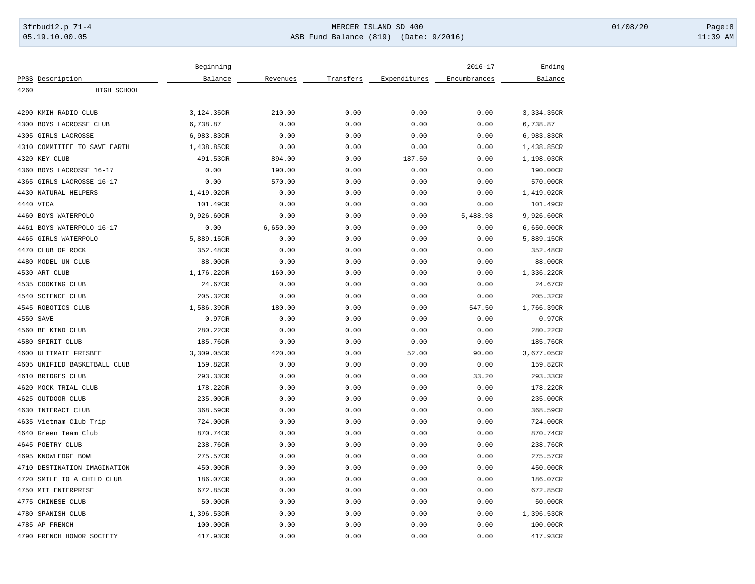## 3frbud12.p 71-4 **Details and the CER ISLAND SD 400** MERCER ISLAND SD 400 01/08/20 Page:8 05.19.10.00.05 ASB Fund Balance (819) (Date: 9/2016) 11:39 AM

|                              | Beginning  |          |           |              | $2016 - 17$  | Ending     |
|------------------------------|------------|----------|-----------|--------------|--------------|------------|
| PPSS Description             | Balance    | Revenues | Transfers | Expenditures | Encumbrances | Balance    |
| 4260<br>HIGH SCHOOL          |            |          |           |              |              |            |
| 4290 KMIH RADIO CLUB         |            |          |           |              |              |            |
|                              | 3,124.35CR | 210.00   | 0.00      | 0.00         | 0.00         | 3,334.35CR |
| 4300<br>BOYS LACROSSE CLUB   | 6,738.87   | 0.00     | 0.00      | 0.00         | 0.00         | 6,738.87   |
| 4305 GIRLS LACROSSE          | 6,983.83CR | 0.00     | 0.00      | 0.00         | 0.00         | 6,983.83CR |
| 4310 COMMITTEE TO SAVE EARTH | 1,438.85CR | 0.00     | 0.00      | 0.00         | 0.00         | 1,438.85CR |
| 4320 KEY CLUB                | 491.53CR   | 894.00   | 0.00      | 187.50       | 0.00         | 1,198.03CR |
| 4360 BOYS LACROSSE 16-17     | 0.00       | 190.00   | 0.00      | 0.00         | 0.00         | 190.00CR   |
| GIRLS LACROSSE 16-17<br>4365 | 0.00       | 570.00   | 0.00      | 0.00         | 0.00         | 570.00CR   |
| 4430 NATURAL HELPERS         | 1,419.02CR | 0.00     | 0.00      | 0.00         | 0.00         | 1,419.02CR |
| 4440 VICA                    | 101.49CR   | 0.00     | 0.00      | 0.00         | 0.00         | 101.49CR   |
| 4460 BOYS WATERPOLO          | 9,926.60CR | 0.00     | 0.00      | 0.00         | 5,488.98     | 9,926.60CR |
| 4461 BOYS WATERPOLO 16-17    | 0.00       | 6,650.00 | 0.00      | 0.00         | 0.00         | 6,650.00CR |
| 4465 GIRLS WATERPOLO         | 5,889.15CR | 0.00     | 0.00      | 0.00         | 0.00         | 5,889.15CR |
| 4470 CLUB OF ROCK            | 352.48CR   | 0.00     | 0.00      | 0.00         | 0.00         | 352.48CR   |
| 4480 MODEL UN CLUB           | 88.00CR    | 0.00     | 0.00      | 0.00         | 0.00         | 88.00CR    |
| 4530 ART CLUB                | 1,176.22CR | 160.00   | 0.00      | 0.00         | 0.00         | 1,336.22CR |
| 4535 COOKING CLUB            | 24.67CR    | 0.00     | 0.00      | 0.00         | 0.00         | 24.67CR    |
| 4540 SCIENCE CLUB            | 205.32CR   | 0.00     | 0.00      | 0.00         | 0.00         | 205.32CR   |
| 4545 ROBOTICS CLUB           | 1,586.39CR | 180.00   | 0.00      | 0.00         | 547.50       | 1,766.39CR |
| 4550 SAVE                    | 0.97CR     | 0.00     | 0.00      | 0.00         | 0.00         | 0.97CR     |
| 4560 BE KIND CLUB            | 280.22CR   | 0.00     | 0.00      | 0.00         | 0.00         | 280.22CR   |
| 4580 SPIRIT CLUB             | 185.76CR   | 0.00     | 0.00      | 0.00         | 0.00         | 185.76CR   |
| 4600 ULTIMATE FRISBEE        | 3,309.05CR | 420.00   | 0.00      | 52.00        | 90.00        | 3,677.05CR |
| 4605 UNIFIED BASKETBALL CLUB | 159.82CR   | 0.00     | 0.00      | 0.00         | 0.00         | 159.82CR   |
| 4610 BRIDGES CLUB            | 293.33CR   | 0.00     | 0.00      | 0.00         | 33.20        | 293.33CR   |
| 4620 MOCK TRIAL CLUB         | 178.22CR   | 0.00     | 0.00      | 0.00         | 0.00         | 178.22CR   |
| 4625 OUTDOOR CLUB            | 235.00CR   | 0.00     | 0.00      | 0.00         | 0.00         | 235.00CR   |
| 4630 INTERACT CLUB           | 368.59CR   | 0.00     | 0.00      | 0.00         | 0.00         | 368.59CR   |
| 4635 Vietnam Club Trip       | 724.00CR   | 0.00     | 0.00      | 0.00         | 0.00         | 724.00CR   |
| 4640<br>Green Team Club      | 870.74CR   | 0.00     | 0.00      | 0.00         | 0.00         | 870.74CR   |
| 4645 POETRY CLUB             | 238.76CR   | 0.00     | 0.00      | 0.00         | 0.00         | 238.76CR   |
| 4695 KNOWLEDGE BOWL          | 275.57CR   | 0.00     | 0.00      | 0.00         | 0.00         | 275.57CR   |
| 4710 DESTINATION IMAGINATION | 450.00CR   | 0.00     | 0.00      | 0.00         | 0.00         | 450.00CR   |
| 4720 SMILE TO A CHILD CLUB   | 186.07CR   | 0.00     | 0.00      | 0.00         | 0.00         | 186.07CR   |
| 4750 MTI ENTERPRISE          | 672.85CR   | 0.00     | 0.00      | 0.00         | 0.00         | 672.85CR   |
| 4775<br>CHINESE CLUB         | 50.00CR    | 0.00     | 0.00      | 0.00         | 0.00         | 50.00CR    |
| 4780 SPANISH CLUB            | 1,396.53CR | 0.00     | 0.00      | 0.00         | 0.00         | 1,396.53CR |
| 4785 AP FRENCH               | 100.00CR   | 0.00     | 0.00      | 0.00         | 0.00         | 100.00CR   |
| 4790 FRENCH HONOR SOCIETY    | 417.93CR   | 0.00     | 0.00      | 0.00         | 0.00         | 417.93CR   |